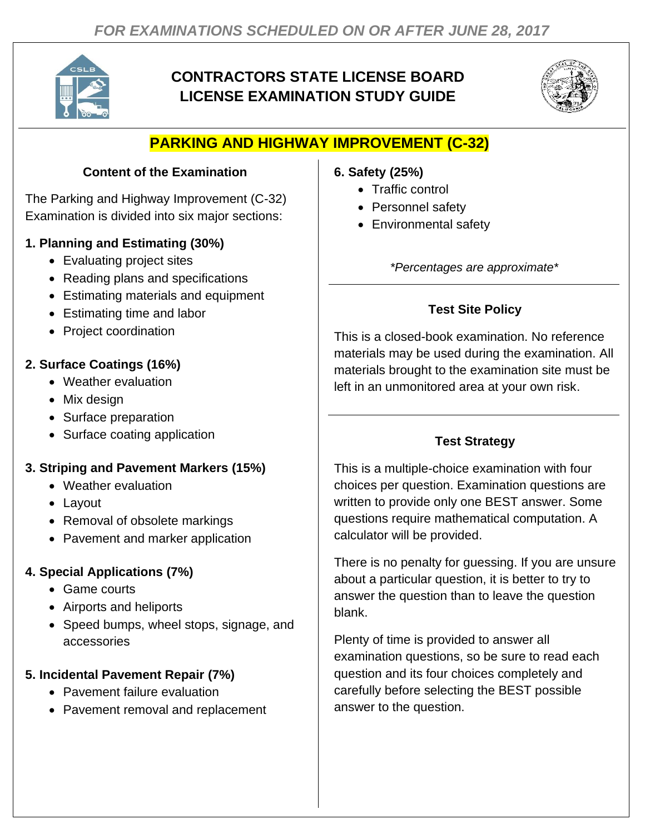

# **CONTRACTORS STATE LICENSE BOARD LICENSE EXAMINATION STUDY GUIDE**



## **PARKING AND HIGHWAY IMPROVEMENT (C-32)**

#### **Content of the Examination**

The Parking and Highway Improvement (C-32) Examination is divided into six major sections:

#### **1. Planning and Estimating (30%)**

- Evaluating project sites
- Reading plans and specifications
- Estimating materials and equipment
- Estimating time and labor
- Project coordination

## **2. Surface Coatings (16%)**

- Weather evaluation
- Mix design
- Surface preparation
- Surface coating application

#### **3. Striping and Pavement Markers (15%)**

- Weather evaluation
- Layout
- Removal of obsolete markings
- Pavement and marker application

## **4. Special Applications (7%)**

- Game courts
- Airports and heliports
- Speed bumps, wheel stops, signage, and accessories

## **5. Incidental Pavement Repair (7%)**

- Pavement failure evaluation
- Pavement removal and replacement

#### **6. Safety (25%)**

- Traffic control
- Personnel safety
- Environmental safety

*\*Percentages are approximate\**

## **Test Site Policy**

This is a closed-book examination. No reference materials may be used during the examination. All materials brought to the examination site must be left in an unmonitored area at your own risk.

## **Test Strategy**

This is a multiple-choice examination with four choices per question. Examination questions are written to provide only one BEST answer. Some questions require mathematical computation. A calculator will be provided.

There is no penalty for guessing. If you are unsure about a particular question, it is better to try to answer the question than to leave the question blank.

Plenty of time is provided to answer all examination questions, so be sure to read each question and its four choices completely and carefully before selecting the BEST possible answer to the question.